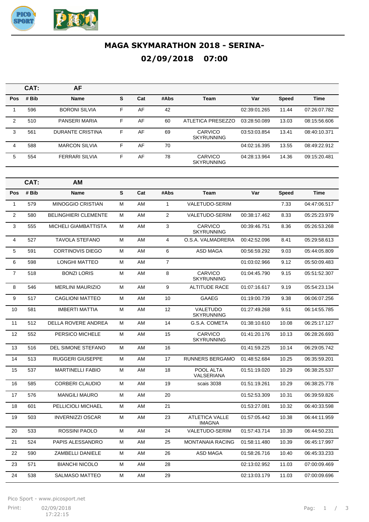

## **MAGA SKYMARATHON 2018 - SERINA-02/09/2018 07:00**

|            | CAT:  | AF                      |    |     |      |                              |              |              |              |
|------------|-------|-------------------------|----|-----|------|------------------------------|--------------|--------------|--------------|
| <b>Pos</b> | # Bib | <b>Name</b>             | S  | Cat | #Abs | <b>Team</b>                  | Var          | <b>Speed</b> | <b>Time</b>  |
|            | 596   | <b>BORONI SILVIA</b>    | F  | AF  | 42   |                              | 02:39:01.265 | 11.44        | 07:26:07.782 |
| 2          | 510   | PANSERI MARIA           | F. | AF  | 60   | ATLETICA PRESEZZO            | 03:28:50.089 | 13.03        | 08:15:56.606 |
| 3          | 561   | <b>DURANTE CRISTINA</b> | F  | AF  | 69   | CARVICO<br><b>SKYRUNNING</b> | 03:53:03.854 | 13.41        | 08:40:10.371 |
| 4          | 588   | <b>MARCON SILVIA</b>    | F  | AF  | 70   |                              | 04:02:16.395 | 13.55        | 08:49:22.912 |
| 5          | 554   | <b>FERRARI SILVIA</b>   | F  | AF  | 78   | CARVICO<br><b>SKYRUNNING</b> | 04:28:13.964 | 14.36        | 09:15:20.481 |

|                | CAT:  | AМ                          |   |     |                |                                        |              |              |              |
|----------------|-------|-----------------------------|---|-----|----------------|----------------------------------------|--------------|--------------|--------------|
| Pos            | # Bib | <b>Name</b>                 | S | Cat | #Abs           | <b>Team</b>                            | Var          | <b>Speed</b> | <b>Time</b>  |
| $\mathbf{1}$   | 579   | <b>MINOGGIO CRISTIAN</b>    | м | AM  | $\mathbf{1}$   | <b>VALETUDO-SERIM</b>                  |              | 7.33         | 04:47:06.517 |
| $\overline{2}$ | 580   | <b>BELINGHIERI CLEMENTE</b> | м | AM  | 2              | <b>VALETUDO-SERIM</b>                  | 00:38:17.462 | 8.33         | 05:25:23.979 |
| 3              | 555   | <b>MICHELI GIAMBATTISTA</b> | M | AM  | 3              | <b>CARVICO</b><br><b>SKYRUNNING</b>    | 00:39:46.751 | 8.36         | 05:26:53.268 |
| $\overline{4}$ | 527   | <b>TAVOLA STEFANO</b>       | M | AM  | $\overline{4}$ | O.S.A. VALMADRERA                      | 00:42:52.096 | 8.41         | 05:29:58.613 |
| 5              | 591   | <b>CORTINOVIS DIEGO</b>     | м | AM  | 6              | <b>ASD MAGA</b>                        | 00:56:59.292 | 9.03         | 05:44:05.809 |
| 6              | 598   | <b>LONGHI MATTEO</b>        | M | AM  | $\overline{7}$ |                                        | 01:03:02.966 | 9.12         | 05:50:09.483 |
| $\overline{7}$ | 518   | <b>BONZI LORIS</b>          | м | AM  | 8              | <b>CARVICO</b><br><b>SKYRUNNING</b>    | 01:04:45.790 | 9.15         | 05:51:52.307 |
| 8              | 546   | <b>MERLINI MAURIZIO</b>     | M | AM  | 9              | <b>ALTITUDE RACE</b>                   | 01:07:16.617 | 9.19         | 05:54:23.134 |
| 9              | 517   | <b>CAGLIONI MATTEO</b>      | M | AM  | 10             | <b>GAAEG</b>                           | 01:19:00.739 | 9.38         | 06:06:07.256 |
| 10             | 581   | <b>IMBERTI MATTIA</b>       | м | AM  | 12             | VALETUDO<br><b>SKYRUNNING</b>          | 01:27:49.268 | 9.51         | 06:14:55.785 |
| 11             | 512   | <b>DELLA ROVERE ANDREA</b>  | М | AM  | 14             | G.S.A. COMETA                          | 01:38:10.610 | 10.08        | 06:25:17.127 |
| 12             | 552   | PERSICO MICHELE             | м | AM  | 15             | <b>CARVICO</b><br><b>SKYRUNNING</b>    | 01:41:20.176 | 10.13        | 06:28:26.693 |
| 13             | 516   | <b>DEL SIMONE STEFANO</b>   | М | AM  | 16             |                                        | 01:41:59.225 | 10.14        | 06:29:05.742 |
| 14             | 513   | <b>RUGGERI GIUSEPPE</b>     | М | AM  | 17             | <b>RUNNERS BERGAMO</b>                 | 01:48:52.684 | 10.25        | 06:35:59.201 |
| 15             | 537   | <b>MARTINELLI FABIO</b>     | M | AM  | 18             | POOL ALTA<br>VALSERIANA                | 01:51:19.020 | 10.29        | 06:38:25.537 |
| 16             | 585   | <b>CORBERI CLAUDIO</b>      | M | AM  | 19             | scais 3038                             | 01:51:19.261 | 10.29        | 06:38:25.778 |
| 17             | 576   | <b>MANGILI MAURO</b>        | м | AM  | 20             |                                        | 01:52:53.309 | 10.31        | 06:39:59.826 |
| 18             | 601   | PELLICIOLI MICHAEL          | M | AM  | 21             |                                        | 01:53:27.081 | 10.32        | 06:40:33.598 |
| 19             | 503   | <b>INVERNIZZI OSCAR</b>     | М | AM  | 23             | <b>ATLETICA VALLE</b><br><b>IMAGNA</b> | 01:57:05.442 | 10.38        | 06:44:11.959 |
| 20             | 533   | <b>ROSSINI PAOLO</b>        | м | AM  | 24             | <b>VALETUDO-SERIM</b>                  | 01:57:43.714 | 10.39        | 06:44:50.231 |
| 21             | 524   | PAPIS ALESSANDRO            | M | AM  | 25             | <b>MONTANAIA RACING</b>                | 01:58:11.480 | 10.39        | 06:45:17.997 |
| 22             | 590   | ZAMBELLI DANIELE            | M | AM  | 26             | <b>ASD MAGA</b>                        | 01:58:26.716 | 10.40        | 06:45:33.233 |
| 23             | 571   | <b>BIANCHI NICOLO</b>       | M | AM  | 28             |                                        | 02:13:02.952 | 11.03        | 07:00:09.469 |
| 24             | 538   | <b>SALMASO MATTEO</b>       | M | AM  | 29             |                                        | 02:13:03.179 | 11.03        | 07:00:09.696 |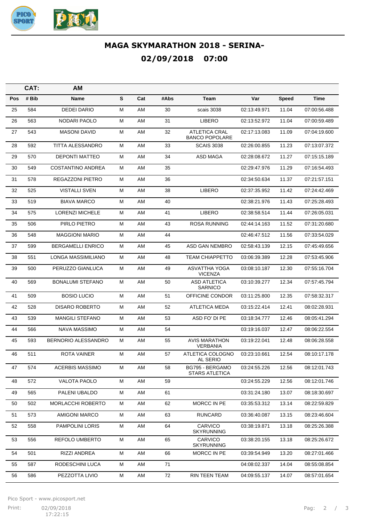

## **MAGA SKYMARATHON 2018 - SERINA-02/09/2018 07:00**

|     | CAT:  | AM                        |   |     |      |                                               |              |              |              |
|-----|-------|---------------------------|---|-----|------|-----------------------------------------------|--------------|--------------|--------------|
| Pos | # Bib | Name                      | S | Cat | #Abs | Team                                          | Var          | <b>Speed</b> | Time         |
| 25  | 584   | <b>DEDEI DARIO</b>        | м | AM  | 30   | scais 3038                                    | 02:13:49.971 | 11.04        | 07:00:56.488 |
| 26  | 563   | NODARI PAOLO              | М | AM  | 31   | LIBERO                                        | 02:13:52.972 | 11.04        | 07:00:59.489 |
| 27  | 543   | <b>MASONI DAVID</b>       | м | AM  | 32   | <b>ATLETICA CRAL</b><br><b>BANCO POPOLARE</b> | 02:17:13.083 | 11.09        | 07:04:19.600 |
| 28  | 592   | <b>TITTA ALESSANDRO</b>   | м | AM  | 33   | <b>SCAIS 3038</b>                             | 02:26:00.855 | 11.23        | 07:13:07.372 |
| 29  | 570   | <b>DEPONTI MATTEO</b>     | м | AM  | 34   | ASD MAGA                                      | 02:28:08.672 | 11.27        | 07:15:15.189 |
| 30  | 549   | <b>COSTANTINO ANDREA</b>  | м | AM  | 35   |                                               | 02:29:47.976 | 11.29        | 07:16:54.493 |
| 31  | 578   | REGAZZONI PIETRO          | м | AM  | 36   |                                               | 02:34:50.634 | 11.37        | 07:21:57.151 |
| 32  | 525   | <b>VISTALLI SVEN</b>      | м | AM  | 38   | <b>LIBERO</b>                                 | 02:37:35.952 | 11.42        | 07:24:42.469 |
| 33  | 519   | <b>BIAVA MARCO</b>        | м | AM  | 40   |                                               | 02:38:21.976 | 11.43        | 07:25:28.493 |
| 34  | 575   | <b>LORENZI MICHELE</b>    | м | AM  | 41   | <b>LIBERO</b>                                 | 02:38:58.514 | 11.44        | 07:26:05.031 |
| 35  | 506   | PIRLO PIETRO              | м | AM  | 43   | ROSA RUNNING                                  | 02:44:14.163 | 11.52        | 07:31:20.680 |
| 36  | 548   | <b>MAGGIONI MARIO</b>     | м | AM  | 44   |                                               | 02:46:47.512 | 11.56        | 07:33:54.029 |
| 37  | 599   | <b>BERGAMELLI ENRICO</b>  | м | AM  | 45   | ASD GAN NEMBRO                                | 02:58:43.139 | 12.15        | 07:45:49.656 |
| 38  | 551   | <b>LONGA MASSIMILIANO</b> | м | AM  | 48   | <b>TEAM CHIAPPETTO</b>                        | 03:06:39.389 | 12.28        | 07:53:45.906 |
| 39  | 500   | PERUZZO GIANLUCA          | м | AM  | 49   | ASVATTHA YOGA<br><b>VICENZA</b>               | 03:08:10.187 | 12.30        | 07:55:16.704 |
| 40  | 569   | <b>BONALUMI STEFANO</b>   | м | AM  | 50   | <b>ASD ATLETICA</b><br><b>SARNICO</b>         | 03:10:39.277 | 12.34        | 07:57:45.794 |
| 41  | 509   | <b>BOSIO LUCIO</b>        | М | AM  | 51   | OFFICINE CONDOR                               | 03:11:25.800 | 12.35        | 07:58:32.317 |
| 42  | 528   | <b>DISARO ROBERTO</b>     | м | AM  | 52   | <b>ATLETICA MEDA</b>                          | 03:15:22.414 | 12.41        | 08:02:28.931 |
| 43  | 539   | <b>MANGILI STEFANO</b>    | Μ | AM  | 53   | ASD FO' DI PE                                 | 03:18:34.777 | 12.46        | 08:05:41.294 |
| 44  | 566   | NAVA MASSIMO              | M | AM  | 54   |                                               | 03:19:16.037 | 12.47        | 08:06:22.554 |
| 45  | 593   | BERNORIO ALESSANDRO       | м | AM  | 55   | <b>AVIS MARATHON</b><br><b>VERBANIA</b>       | 03:19:22.041 | 12.48        | 08:06:28.558 |
| 46  | 511   | <b>ROTA VAINER</b>        | М | AM  | 57   | ATLETICA COLOGNO<br>AL SERIO                  | 03:23:10.661 | 12.54        | 08:10:17.178 |
| 47  | 574   | <b>ACERBIS MASSIMO</b>    | M | AM  | 58   | BG795 - BERGAMO<br><b>STARS ATLETICA</b>      | 03:24:55.226 | 12.56        | 08:12:01.743 |
| 48  | 572   | VALOTA PAOLO              | М | AM  | 59   |                                               | 03:24:55.229 | 12.56        | 08:12:01.746 |
| 49  | 565   | PALENI UBALDO             | М | AM  | 61   |                                               | 03:31:24.180 | 13.07        | 08:18:30.697 |
| 50  | 502   | MORLACCHI ROBERTO         | М | AM  | 62   | MORCC IN PE                                   | 03:35:53.312 | 13.14        | 08:22:59.829 |
| 51  | 573   | AMIGONI MARCO             | М | AM  | 63   | <b>RUNCARD</b>                                | 03:36:40.087 | 13.15        | 08:23:46.604 |
| 52  | 558   | PAMPOLINI LORIS           | М | AM  | 64   | CARVICO<br><b>SKYRUNNING</b>                  | 03:38:19.871 | 13.18        | 08:25:26.388 |
| 53  | 556   | REFOLO UMBERTO            | м | AM  | 65   | CARVICO<br><b>SKYRUNNING</b>                  | 03:38:20.155 | 13.18        | 08:25:26.672 |
| 54  | 501   | RIZZI ANDREA              | М | AM  | 66   | MORCC IN PE                                   | 03:39:54.949 | 13.20        | 08:27:01.466 |
| 55  | 587   | RODESCHINI LUCA           | м | AM  | 71   |                                               | 04:08:02.337 | 14.04        | 08:55:08.854 |
| 56  | 586   | PEZZOTTA LIVIO            | М | AM  | 72   | RIN TEEN TEAM                                 | 04:09:55.137 | 14.07        | 08:57:01.654 |